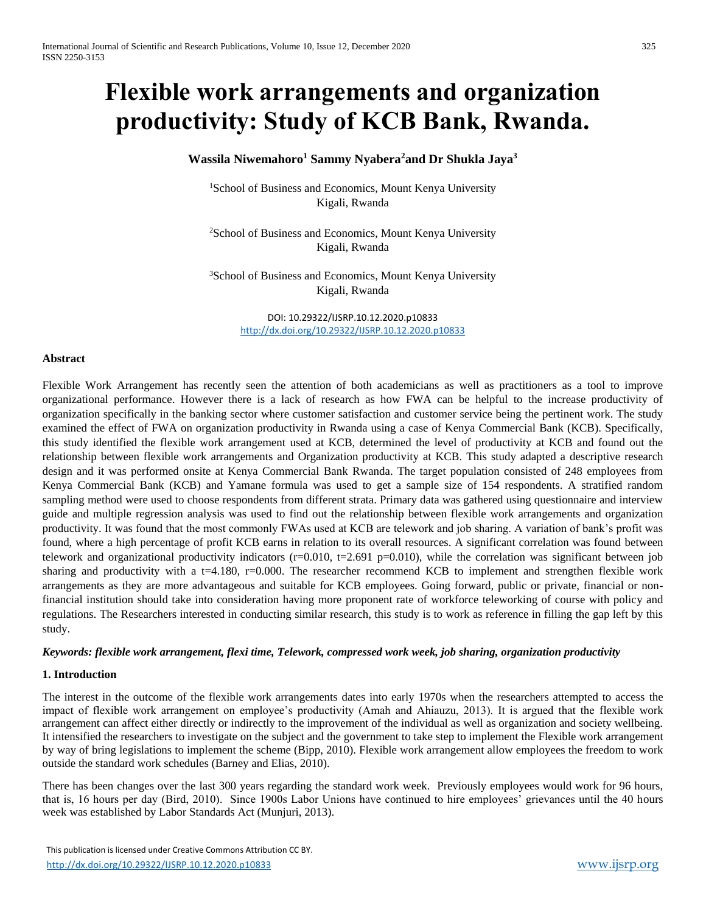# **Flexible work arrangements and organization productivity: Study of KCB Bank, Rwanda.**

# **Wassila Niwemahoro<sup>1</sup> Sammy Nyabera<sup>2</sup>and Dr Shukla Jaya<sup>3</sup>**

<sup>1</sup>School of Business and Economics, Mount Kenya University Kigali, Rwanda

<sup>2</sup>School of Business and Economics, Mount Kenya University Kigali, Rwanda

<sup>3</sup>School of Business and Economics, Mount Kenya University Kigali, Rwanda

> DOI: 10.29322/IJSRP.10.12.2020.p10833 <http://dx.doi.org/10.29322/IJSRP.10.12.2020.p10833>

#### **Abstract**

Flexible Work Arrangement has recently seen the attention of both academicians as well as practitioners as a tool to improve organizational performance. However there is a lack of research as how FWA can be helpful to the increase productivity of organization specifically in the banking sector where customer satisfaction and customer service being the pertinent work. The study examined the effect of FWA on organization productivity in Rwanda using a case of Kenya Commercial Bank (KCB). Specifically, this study identified the flexible work arrangement used at KCB, determined the level of productivity at KCB and found out the relationship between flexible work arrangements and Organization productivity at KCB. This study adapted a descriptive research design and it was performed onsite at Kenya Commercial Bank Rwanda. The target population consisted of 248 employees from Kenya Commercial Bank (KCB) and Yamane formula was used to get a sample size of 154 respondents. A stratified random sampling method were used to choose respondents from different strata. Primary data was gathered using questionnaire and interview guide and multiple regression analysis was used to find out the relationship between flexible work arrangements and organization productivity. It was found that the most commonly FWAs used at KCB are telework and job sharing. A variation of bank's profit was found, where a high percentage of profit KCB earns in relation to its overall resources. A significant correlation was found between telework and organizational productivity indicators ( $r=0.010$ ,  $t=2.691$  p=0.010), while the correlation was significant between job sharing and productivity with a t=4.180,  $r=0.000$ . The researcher recommend KCB to implement and strengthen flexible work arrangements as they are more advantageous and suitable for KCB employees. Going forward, public or private, financial or nonfinancial institution should take into consideration having more proponent rate of workforce teleworking of course with policy and regulations. The Researchers interested in conducting similar research, this study is to work as reference in filling the gap left by this study.

## *Keywords: flexible work arrangement, flexi time, Telework, compressed work week, job sharing, organization productivity*

#### **1. Introduction**

The interest in the outcome of the flexible work arrangements dates into early 1970s when the researchers attempted to access the impact of flexible work arrangement on employee's productivity (Amah and Ahiauzu, 2013). It is argued that the flexible work arrangement can affect either directly or indirectly to the improvement of the individual as well as organization and society wellbeing. It intensified the researchers to investigate on the subject and the government to take step to implement the Flexible work arrangement by way of bring legislations to implement the scheme (Bipp, 2010). Flexible work arrangement allow employees the freedom to work outside the standard work schedules (Barney and Elias, 2010).

There has been changes over the last 300 years regarding the standard work week. Previously employees would work for 96 hours, that is, 16 hours per day (Bird, 2010). Since 1900s Labor Unions have continued to hire employees' grievances until the 40 hours week was established by Labor Standards Act (Munjuri, 2013).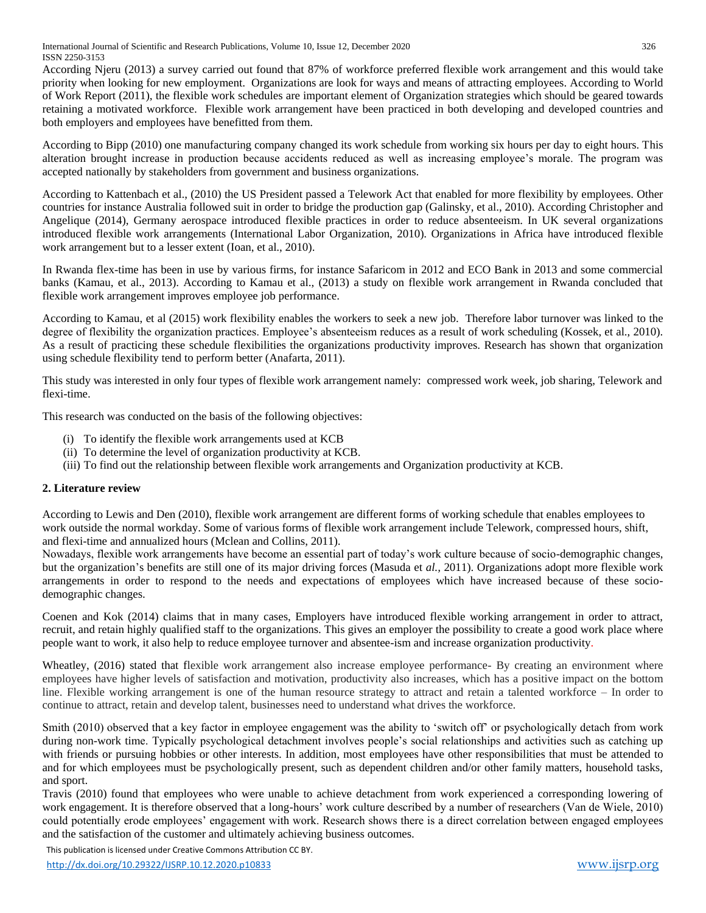International Journal of Scientific and Research Publications, Volume 10, Issue 12, December 2020 326 ISSN 2250-3153

According Njeru (2013) a survey carried out found that 87% of workforce preferred flexible work arrangement and this would take priority when looking for new employment. Organizations are look for ways and means of attracting employees. According to World of Work Report (2011), the flexible work schedules are important element of Organization strategies which should be geared towards retaining a motivated workforce. Flexible work arrangement have been practiced in both developing and developed countries and both employers and employees have benefitted from them.

According to Bipp (2010) one manufacturing company changed its work schedule from working six hours per day to eight hours. This alteration brought increase in production because accidents reduced as well as increasing employee's morale. The program was accepted nationally by stakeholders from government and business organizations.

According to Kattenbach et al., (2010) the US President passed a Telework Act that enabled for more flexibility by employees. Other countries for instance Australia followed suit in order to bridge the production gap (Galinsky, et al., 2010). According Christopher and Angelique (2014), Germany aerospace introduced flexible practices in order to reduce absenteeism. In UK several organizations introduced flexible work arrangements (International Labor Organization, 2010). Organizations in Africa have introduced flexible work arrangement but to a lesser extent (Ioan, et al., 2010).

In Rwanda flex-time has been in use by various firms, for instance Safaricom in 2012 and ECO Bank in 2013 and some commercial banks (Kamau, et al., 2013). According to Kamau et al., (2013) a study on flexible work arrangement in Rwanda concluded that flexible work arrangement improves employee job performance.

According to Kamau, et al (2015) work flexibility enables the workers to seek a new job. Therefore labor turnover was linked to the degree of flexibility the organization practices. Employee's absenteeism reduces as a result of work scheduling (Kossek, et al., 2010). As a result of practicing these schedule flexibilities the organizations productivity improves. Research has shown that organization using schedule flexibility tend to perform better (Anafarta, 2011).

This study was interested in only four types of flexible work arrangement namely: compressed work week, job sharing, Telework and flexi-time.

This research was conducted on the basis of the following objectives:

- (i) To identify the flexible work arrangements used at KCB
- (ii) To determine the level of organization productivity at KCB.
- (iii) To find out the relationship between flexible work arrangements and Organization productivity at KCB.

# **2. Literature review**

According to Lewis and Den (2010), flexible work arrangement are different forms of working schedule that enables employees to work outside the normal workday. Some of various forms of flexible work arrangement include Telework, compressed hours, shift, and flexi-time and annualized hours (Mclean and Collins, 2011).

Nowadays, flexible work arrangements have become an essential part of today's work culture because of socio-demographic changes, but the organization's benefits are still one of its major driving forces (Masuda et *al.,* 2011). Organizations adopt more flexible work arrangements in order to respond to the needs and expectations of employees which have increased because of these sociodemographic changes.

Coenen and Kok (2014) claims that in many cases, Employers have introduced flexible working arrangement in order to attract, recruit, and retain highly qualified staff to the organizations. This gives an employer the possibility to create a good work place where people want to work, it also help to reduce employee turnover and absentee-ism and increase organization productivity.

Wheatley, (2016) stated that flexible work arrangement also increase employee performance- By creating an environment where employees have higher levels of satisfaction and motivation, productivity also increases, which has a positive impact on the bottom line. Flexible working arrangement is one of the human resource strategy to attract and retain a talented workforce – In order to continue to attract, retain and develop talent, businesses need to understand what drives the workforce.

Smith (2010) observed that a key factor in employee engagement was the ability to 'switch off' or psychologically detach from work during non-work time. Typically psychological detachment involves people's social relationships and activities such as catching up with friends or pursuing hobbies or other interests. In addition, most employees have other responsibilities that must be attended to and for which employees must be psychologically present, such as dependent children and/or other family matters, household tasks, and sport.

Travis (2010) found that employees who were unable to achieve detachment from work experienced a corresponding lowering of work engagement. It is therefore observed that a long-hours' work culture described by a number of researchers (Van de Wiele, 2010) could potentially erode employees' engagement with work. Research shows there is a direct correlation between engaged employees and the satisfaction of the customer and ultimately achieving business outcomes.

This publication is licensed under Creative Commons Attribution CC BY.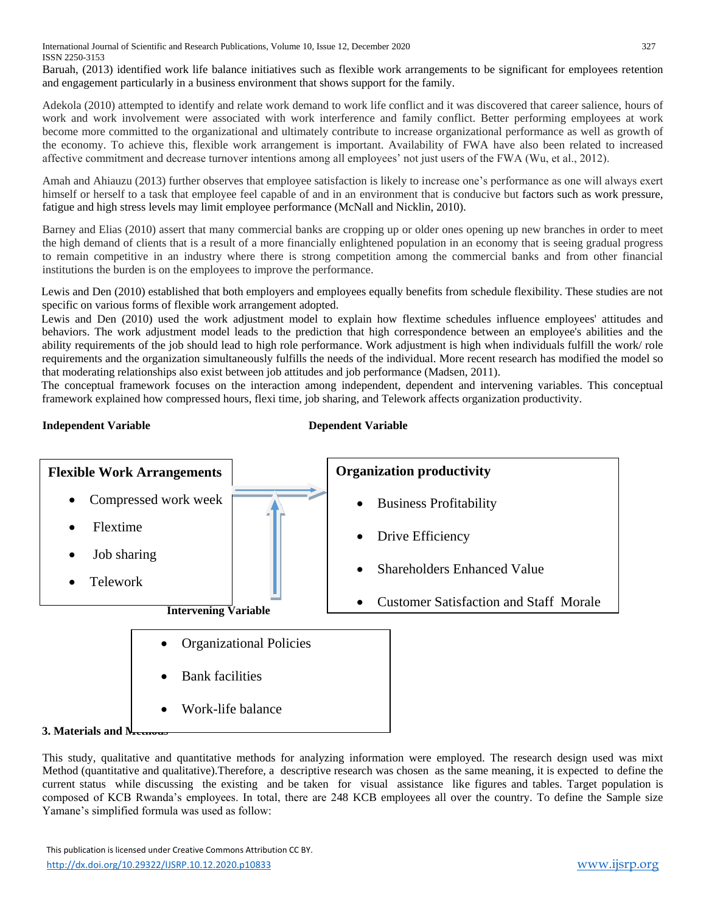International Journal of Scientific and Research Publications, Volume 10, Issue 12, December 2020 327 ISSN 2250-3153

Baruah, (2013) identified work life balance initiatives such as flexible work arrangements to be significant for employees retention and engagement particularly in a business environment that shows support for the family.

Adekola (2010) attempted to identify and relate work demand to work life conflict and it was discovered that career salience, hours of work and work involvement were associated with work interference and family conflict. Better performing employees at work become more committed to the organizational and ultimately contribute to increase organizational performance as well as growth of the economy. To achieve this, flexible work arrangement is important. Availability of FWA have also been related to increased affective commitment and decrease turnover intentions among all employees' not just users of the FWA (Wu, et al., 2012).

Amah and Ahiauzu (2013) further observes that employee satisfaction is likely to increase one's performance as one will always exert himself or herself to a task that employee feel capable of and in an environment that is conducive but factors such as work pressure, fatigue and high stress levels may limit employee performance (McNall and Nicklin, 2010).

Barney and Elias (2010) assert that many commercial banks are cropping up or older ones opening up new branches in order to meet the high demand of clients that is a result of a more financially enlightened population in an economy that is seeing gradual progress to remain competitive in an industry where there is strong competition among the commercial banks and from other financial institutions the burden is on the employees to improve the performance.

Lewis and Den (2010) established that both employers and employees equally benefits from schedule flexibility. These studies are not specific on various forms of flexible work arrangement adopted.

Lewis and Den (2010) used the work adjustment model to explain how flextime schedules influence employees' attitudes and behaviors. The work adjustment model leads to the prediction that high correspondence between an employee's abilities and the ability requirements of the job should lead to high role performance. Work adjustment is high when individuals fulfill the work/ role requirements and the organization simultaneously fulfills the needs of the individual. More recent research has modified the model so that moderating relationships also exist between job attitudes and job performance (Madsen, 2011).

The conceptual framework focuses on the interaction among independent, dependent and intervening variables. This conceptual framework explained how compressed hours, flexi time, job sharing, and Telework affects organization productivity.

# **Independent Variable Dependent Variable**



#### **3. Materials and N**

This study, qualitative and quantitative methods for analyzing information were employed. The research design used was mixt Method (quantitative and qualitative).Therefore, a descriptive research was chosen as the same meaning, it is expected to define the current status while discussing the existing and be taken for visual assistance like figures and tables. Target population is composed of KCB Rwanda's employees. In total, there are 248 KCB employees all over the country. To define the Sample size Yamane's simplified formula was used as follow: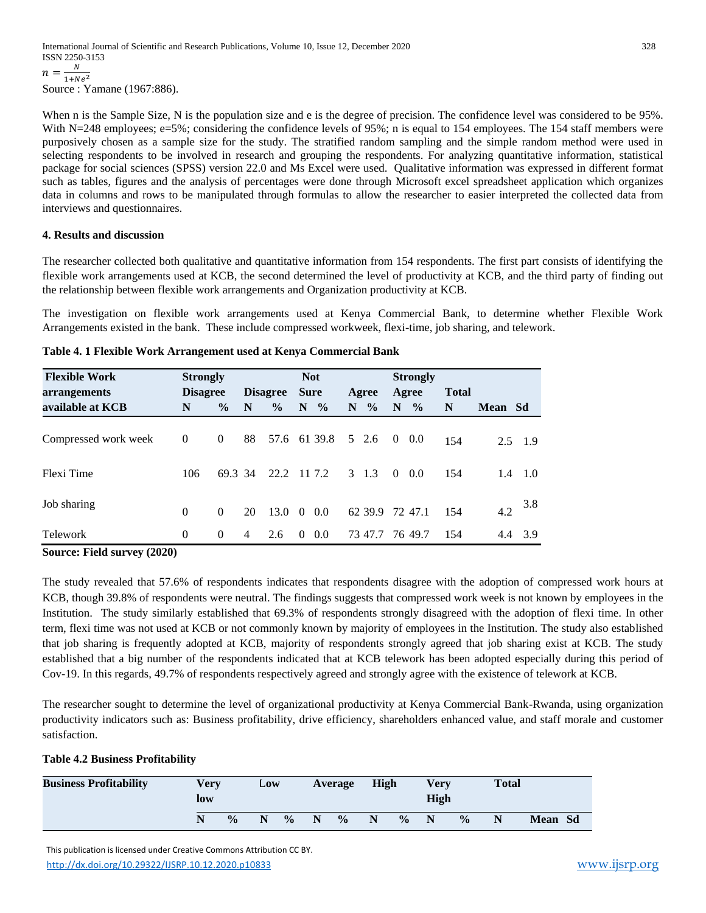When n is the Sample Size, N is the population size and e is the degree of precision. The confidence level was considered to be 95%. With N=248 employees; e=5%; considering the confidence levels of 95%; n is equal to 154 employees. The 154 staff members were purposively chosen as a sample size for the study. The stratified random sampling and the simple random method were used in selecting respondents to be involved in research and grouping the respondents. For analyzing quantitative information, statistical package for social sciences (SPSS) version 22.0 and Ms Excel were used. Qualitative information was expressed in different format such as tables, figures and the analysis of percentages were done through Microsoft excel spreadsheet application which organizes data in columns and rows to be manipulated through formulas to allow the researcher to easier interpreted the collected data from interviews and questionnaires.

# **4. Results and discussion**

The researcher collected both qualitative and quantitative information from 154 respondents. The first part consists of identifying the flexible work arrangements used at KCB, the second determined the level of productivity at KCB, and the third party of finding out the relationship between flexible work arrangements and Organization productivity at KCB.

The investigation on flexible work arrangements used at Kenya Commercial Bank, to determine whether Flexible Work Arrangements existed in the bank. These include compressed workweek, flexi-time, job sharing, and telework.

| <b>Flexible Work</b> | <b>Strongly</b> |                |                 |               | <b>Not</b>  |         |    |               |                | <b>Strongly</b> |              |         |                 |
|----------------------|-----------------|----------------|-----------------|---------------|-------------|---------|----|---------------|----------------|-----------------|--------------|---------|-----------------|
| arrangements         | <b>Disagree</b> |                | <b>Disagree</b> |               | <b>Sure</b> |         |    | Agree         |                | Agree           | <b>Total</b> |         |                 |
| available at KCB     | N               | $\frac{0}{0}$  | N               | $\frac{0}{0}$ |             | $N_{o}$ | N. | $\frac{0}{0}$ |                | $N \gamma_0$    | N            | Mean Sd |                 |
| Compressed work week | $\overline{0}$  | $\overline{0}$ | 88              | 57.6 61 39.8  |             |         |    | 5 2.6         | $\overline{0}$ | - 0.0           | 154          |         | $2.5$ 1.9       |
| Flexi Time           | 106             | 69.3 34        |                 | 22.2          |             | 11 7.2  |    | $3 \quad 1.3$ | $\Omega$       | 0.0             | 154          |         | $1.4 \quad 1.0$ |
| Job sharing          | $\Omega$        | $\Omega$       | 20              | 13.0          | $\theta$    | 0.0     |    | 62 39.9       |                | 72 47.1         | 154          | 4.2     | 3.8             |
| Telework             | $\Omega$        | $\theta$       | 4               | 2.6           | $\theta$    | 0.0     |    | 73 47.7       |                | 76 49.7         | 154          | 4.4     | 3.9             |

|  |  | Table 4. 1 Flexible Work Arrangement used at Kenya Commercial Bank |
|--|--|--------------------------------------------------------------------|
|  |  |                                                                    |

**Source: Field survey (2020)**

The study revealed that 57.6% of respondents indicates that respondents disagree with the adoption of compressed work hours at KCB, though 39.8% of respondents were neutral. The findings suggests that compressed work week is not known by employees in the Institution. The study similarly established that 69.3% of respondents strongly disagreed with the adoption of flexi time. In other term, flexi time was not used at KCB or not commonly known by majority of employees in the Institution. The study also established that job sharing is frequently adopted at KCB, majority of respondents strongly agreed that job sharing exist at KCB. The study established that a big number of the respondents indicated that at KCB telework has been adopted especially during this period of Cov-19. In this regards, 49.7% of respondents respectively agreed and strongly agree with the existence of telework at KCB.

The researcher sought to determine the level of organizational productivity at Kenya Commercial Bank-Rwanda, using organization productivity indicators such as: Business profitability, drive efficiency, shareholders enhanced value, and staff morale and customer satisfaction.

# **Table 4.2 Business Profitability**

| <b>Business Profitability</b> | <b>Very</b><br>low | Low           |   | Average       |             | <b>High</b>   |   | Verv<br><b>High</b> |   | <b>Total</b>  |   |                |  |
|-------------------------------|--------------------|---------------|---|---------------|-------------|---------------|---|---------------------|---|---------------|---|----------------|--|
|                               |                    | $\frac{0}{0}$ | N | $\frac{0}{0}$ | $\mathbf N$ | $\frac{6}{6}$ | N | $\frac{0}{0}$       | N | $\frac{0}{0}$ | N | <b>Mean</b> Sd |  |

 This publication is licensed under Creative Commons Attribution CC BY. <http://dx.doi.org/10.29322/IJSRP.10.12.2020.p10833> [www.ijsrp.org](http://ijsrp.org/)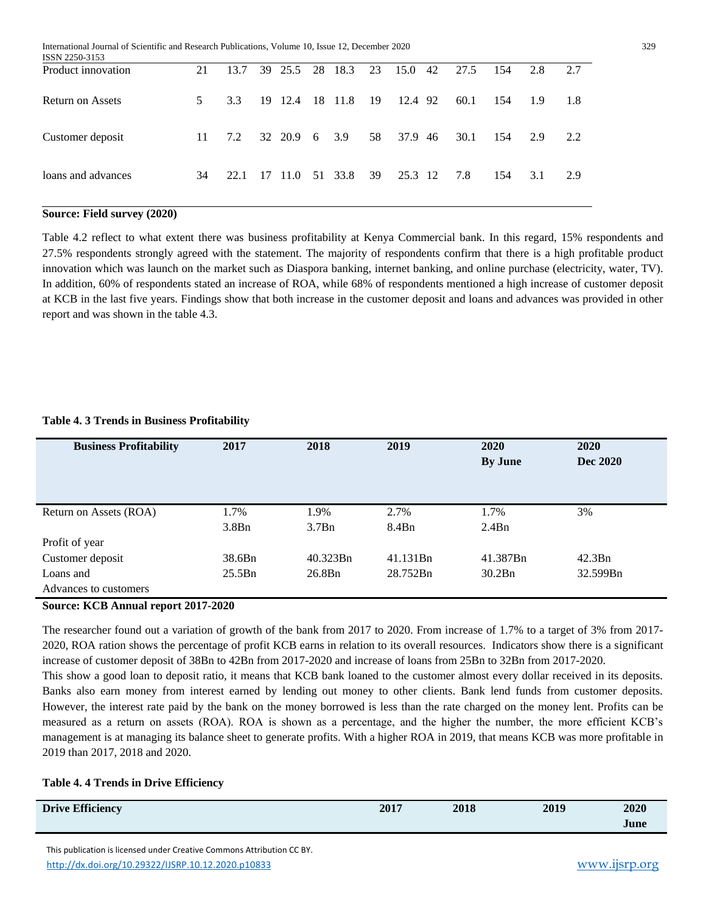International Journal of Scientific and Research Publications, Volume 10, Issue 12, December 2020 329

| ISSN 2250-3153          |    |      |                 |  |      |                                 |      |     |     |      |
|-------------------------|----|------|-----------------|--|------|---------------------------------|------|-----|-----|------|
| Product innovation      | 21 | 13.7 |                 |  |      | 39 25.5 28 18.3 23 15.0 42 27.5 |      | 154 | 2.8 | 2.7  |
| <b>Return on Assets</b> | 5. | 3.3  | 19 12.4 18 11.8 |  | - 19 | 12.4 92                         | 60.1 | 154 | 1.9 | -1.8 |
| Customer deposit        | 11 | 7.2  | 32 20.9 6 3.9   |  | 58   | 37.9 46                         | 30.1 | 154 | 2.9 | 2.2  |
| loans and advances      | 34 | 22.1 | 17 11.0 51 33.8 |  | 39   | 25.3 12                         | 7.8  | 154 | 3.1 | 2.9  |

## **Source: Field survey (2020)**

Table 4.2 reflect to what extent there was business profitability at Kenya Commercial bank. In this regard, 15% respondents and 27.5% respondents strongly agreed with the statement. The majority of respondents confirm that there is a high profitable product innovation which was launch on the market such as Diaspora banking, internet banking, and online purchase (electricity, water, TV). In addition, 60% of respondents stated an increase of ROA, while 68% of respondents mentioned a high increase of customer deposit at KCB in the last five years. Findings show that both increase in the customer deposit and loans and advances was provided in other report and was shown in the table 4.3.

#### **Table 4. 3 Trends in Business Profitability**

| <b>Business Profitability</b> | 2017   | 2018<br>2019 |          | 2020           | 2020     |
|-------------------------------|--------|--------------|----------|----------------|----------|
|                               |        |              |          | <b>By June</b> | Dec 2020 |
|                               |        |              |          |                |          |
|                               |        |              |          |                |          |
| Return on Assets (ROA)        | 1.7%   | 1.9%         | 2.7%     | 1.7%           | 3%       |
|                               | 3.8Bn  | 3.7Bn        | 8.4Bn    | 2.4Bn          |          |
| Profit of year                |        |              |          |                |          |
| Customer deposit              | 38.6Bn | 40.323Bn     | 41.131Bn | 41.387Bn       | 42.3Bn   |
| Loans and                     | 25.5Bn | 26.8Bn       | 28.752Bn | 30.2Bn         | 32.599Bn |
| Advances to customers         |        |              |          |                |          |

#### **Source: KCB Annual report 2017-2020**

The researcher found out a variation of growth of the bank from 2017 to 2020. From increase of 1.7% to a target of 3% from 2017- 2020, ROA ration shows the percentage of profit KCB earns in relation to its overall resources. Indicators show there is a significant increase of customer deposit of 38Bn to 42Bn from 2017-2020 and increase of loans from 25Bn to 32Bn from 2017-2020. This show a good loan to deposit ratio, it means that KCB bank loaned to the customer almost every dollar received in its deposits. Banks also earn money from interest earned by lending out money to other clients. Bank lend funds from customer deposits. However, the interest rate paid by the bank on the money borrowed is less than the rate charged on the money lent. Profits can be measured as a return on assets (ROA). ROA is shown as a percentage, and the higher the number, the more efficient KCB's management is at managing its balance sheet to generate profits. With a higher ROA in 2019, that means KCB was more profitable in 2019 than 2017, 2018 and 2020.

#### **Table 4. 4 Trends in Drive Efficiency**

| <b>Drive Efficiency</b> | 2017 | 2018 | 2019 | 2020 |
|-------------------------|------|------|------|------|
|                         |      |      |      | June |
|                         |      |      |      |      |

 This publication is licensed under Creative Commons Attribution CC BY. <http://dx.doi.org/10.29322/IJSRP.10.12.2020.p10833> [www.ijsrp.org](http://ijsrp.org/)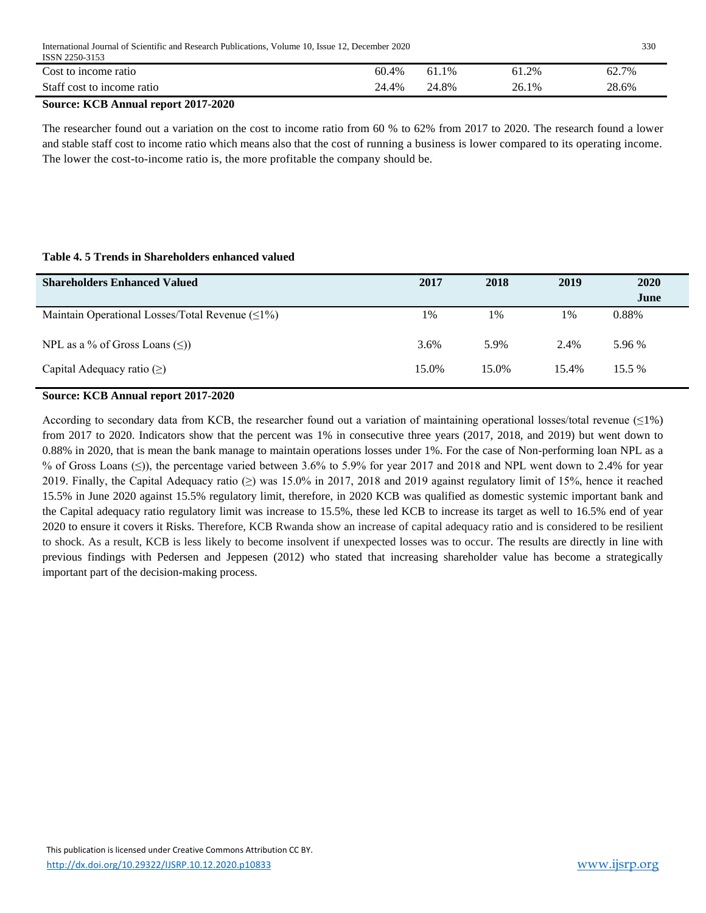| International Journal of Scientific and Research Publications. Volume 10, Issue 12, December 2020<br>ISSN 2250-3153 |       |       |       |       |  |  |  |  |
|---------------------------------------------------------------------------------------------------------------------|-------|-------|-------|-------|--|--|--|--|
| Cost to income ratio                                                                                                | 60.4% | 61.1% | 61.2% | 62.7% |  |  |  |  |
| Staff cost to income ratio                                                                                          | 24.4% | 24.8% | 26.1% | 28.6% |  |  |  |  |

# **Source: KCB Annual report 2017-2020**

The researcher found out a variation on the cost to income ratio from 60 % to 62% from 2017 to 2020. The research found a lower and stable staff cost to income ratio which means also that the cost of running a business is lower compared to its operating income. The lower the cost-to-income ratio is, the more profitable the company should be.

# **Table 4. 5 Trends in Shareholders enhanced valued**

| <b>Shareholders Enhanced Valued</b>                    | 2017  | 2018  | 2019  | 2020<br>June |
|--------------------------------------------------------|-------|-------|-------|--------------|
| Maintain Operational Losses/Total Revenue $(\leq 1\%)$ | 1%    | 1%    | 1%    | 0.88%        |
| NPL as a % of Gross Loans $(\leq)$ )                   | 3.6%  | 5.9%  | 2.4%  | 5.96 %       |
| Capital Adequacy ratio $(\ge)$                         | 15.0% | 15.0% | 15.4% | 15.5 %       |

# **Source: KCB Annual report 2017-2020**

According to secondary data from KCB, the researcher found out a variation of maintaining operational losses/total revenue  $(\leq 1\%)$ from 2017 to 2020. Indicators show that the percent was 1% in consecutive three years (2017, 2018, and 2019) but went down to 0.88% in 2020, that is mean the bank manage to maintain operations losses under 1%. For the case of Non-performing loan NPL as a % of Gross Loans (≤)), the percentage varied between 3.6% to 5.9% for year 2017 and 2018 and NPL went down to 2.4% for year 2019. Finally, the Capital Adequacy ratio (≥) was 15.0% in 2017, 2018 and 2019 against regulatory limit of 15%, hence it reached 15.5% in June 2020 against 15.5% regulatory limit, therefore, in 2020 KCB was qualified as domestic systemic important bank and the Capital adequacy ratio regulatory limit was increase to 15.5%, these led KCB to increase its target as well to 16.5% end of year 2020 to ensure it covers it Risks. Therefore, KCB Rwanda show an increase of capital adequacy ratio and is considered to be resilient to shock. As a result, KCB is less likely to become insolvent if unexpected losses was to occur. The results are directly in line with previous findings with Pedersen and Jeppesen (2012) who stated that increasing shareholder value has become a strategically important part of the decision-making process.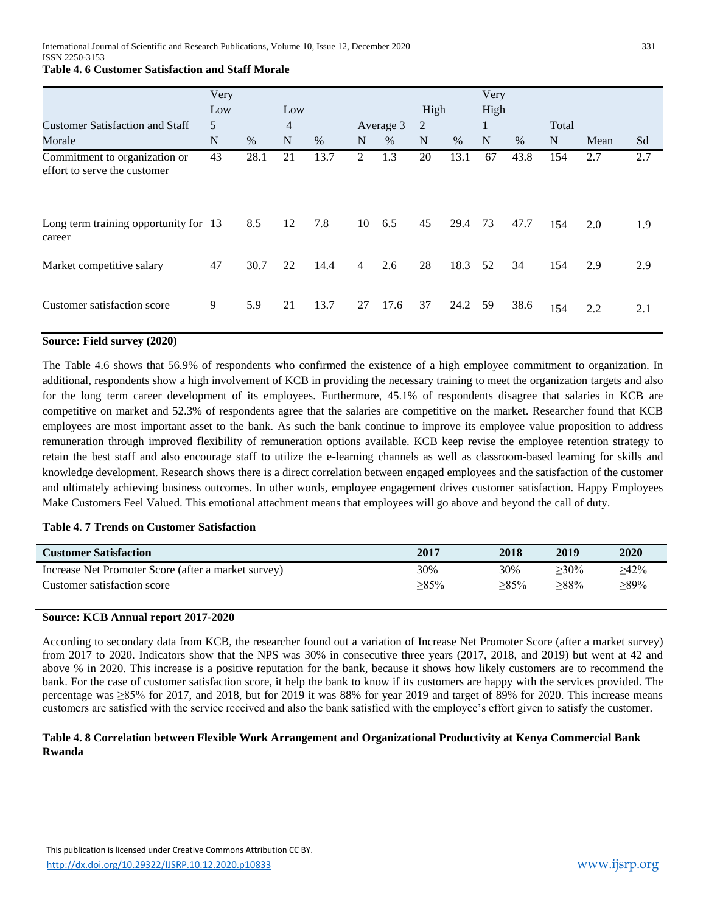# **Table 4. 6 Customer Satisfaction and Staff Morale**

|                                                               | Very |      |                |      |                |           |      |      | Very |      |       |      |     |
|---------------------------------------------------------------|------|------|----------------|------|----------------|-----------|------|------|------|------|-------|------|-----|
|                                                               | Low  |      | Low            |      |                |           | High |      | High |      |       |      |     |
| <b>Customer Satisfaction and Staff</b>                        | 5    |      | $\overline{4}$ |      |                | Average 3 | 2    |      | 1    |      | Total |      |     |
| Morale                                                        | N    | $\%$ | N              | $\%$ | N              | $\%$      | N    | $\%$ | N    | $\%$ | N     | Mean | Sd  |
| Commitment to organization or<br>effort to serve the customer | 43   | 28.1 | 21             | 13.7 | 2              | 1.3       | 20   | 13.1 | 67   | 43.8 | 154   | 2.7  | 2.7 |
| Long term training opportunity for 13<br>career               |      | 8.5  | 12             | 7.8  | 10             | 6.5       | 45   | 29.4 | 73   | 47.7 | 154   | 2.0  | 1.9 |
| Market competitive salary                                     | 47   | 30.7 | 22             | 14.4 | $\overline{4}$ | 2.6       | 28   | 18.3 | 52   | 34   | 154   | 2.9  | 2.9 |
| Customer satisfaction score                                   | 9    | 5.9  | 21             | 13.7 | 27             | 17.6      | 37   | 24.2 | 59   | 38.6 | 154   | 2.2  | 2.1 |

# **Source: Field survey (2020)**

The Table 4.6 shows that 56.9% of respondents who confirmed the existence of a high employee commitment to organization. In additional, respondents show a high involvement of KCB in providing the necessary training to meet the organization targets and also for the long term career development of its employees. Furthermore, 45.1% of respondents disagree that salaries in KCB are competitive on market and 52.3% of respondents agree that the salaries are competitive on the market. Researcher found that KCB employees are most important asset to the bank. As such the bank continue to improve its employee value proposition to address remuneration through improved flexibility of remuneration options available. KCB keep revise the employee retention strategy to retain the best staff and also encourage staff to utilize the e-learning channels as well as classroom-based learning for skills and knowledge development. Research shows there is a direct correlation between engaged employees and the satisfaction of the customer and ultimately achieving business outcomes. In other words, employee engagement drives customer satisfaction. Happy Employees Make Customers Feel Valued. This emotional attachment means that employees will go above and beyond the call of duty.

## **Table 4. 7 Trends on Customer Satisfaction**

| <b>Customer Satisfaction</b>                        | 2017    | 2018    | 2019    | 2020    |
|-----------------------------------------------------|---------|---------|---------|---------|
| Increase Net Promoter Score (after a market survey) | 30%     | 30%     | $>30\%$ | $>42\%$ |
| Customer satisfaction score                         | $>85\%$ | $>85\%$ | $>88\%$ | $>89\%$ |

#### **Source: KCB Annual report 2017-2020**

According to secondary data from KCB, the researcher found out a variation of Increase Net Promoter Score (after a market survey) from 2017 to 2020. Indicators show that the NPS was 30% in consecutive three years (2017, 2018, and 2019) but went at 42 and above % in 2020. This increase is a positive reputation for the bank, because it shows how likely customers are to recommend the bank. For the case of customer satisfaction score, it help the bank to know if its customers are happy with the services provided. The percentage was ≥85% for 2017, and 2018, but for 2019 it was 88% for year 2019 and target of 89% for 2020. This increase means customers are satisfied with the service received and also the bank satisfied with the employee's effort given to satisfy the customer.

#### **Table 4. 8 Correlation between Flexible Work Arrangement and Organizational Productivity at Kenya Commercial Bank Rwanda**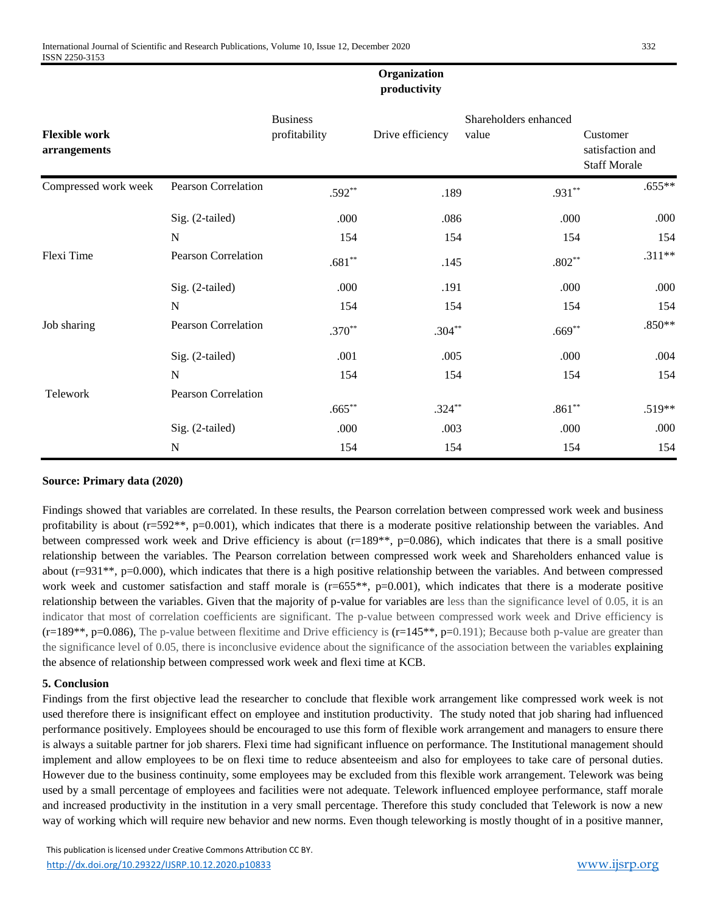# **Organization productivity**

|                                      |                            | <b>Business</b> |                  | Shareholders enhanced |                                                     |
|--------------------------------------|----------------------------|-----------------|------------------|-----------------------|-----------------------------------------------------|
| <b>Flexible work</b><br>arrangements |                            | profitability   | Drive efficiency | value                 | Customer<br>satisfaction and<br><b>Staff Morale</b> |
| Compressed work week                 | <b>Pearson Correlation</b> | $.592**$        | .189             | $.931**$              | $.655**$                                            |
|                                      | Sig. (2-tailed)            | .000            | .086             | .000                  | .000                                                |
|                                      | N                          | 154             | 154              | 154                   | 154                                                 |
| Flexi Time                           | <b>Pearson Correlation</b> | $.681**$        | .145             | $.802**$              | $.311**$                                            |
|                                      | Sig. (2-tailed)            | .000            | .191             | .000                  | .000                                                |
|                                      | $\mathbf N$                | 154             | 154              | 154                   | 154                                                 |
| Job sharing                          | <b>Pearson Correlation</b> | $.370**$        | $.304**$         | $.669**$              | $.850**$                                            |
|                                      | Sig. (2-tailed)            | .001            | .005             | .000                  | .004                                                |
|                                      | N                          | 154             | 154              | 154                   | 154                                                 |
| Telework                             | Pearson Correlation        |                 |                  |                       |                                                     |
|                                      |                            | $.665***$       | $.324***$        | $.861**$              | $.519**$                                            |
|                                      | Sig. (2-tailed)            | .000            | .003             | .000                  | .000                                                |
|                                      | $\mathbf N$                | 154             | 154              | 154                   | 154                                                 |

# **Source: Primary data (2020)**

Findings showed that variables are correlated. In these results, the Pearson correlation between compressed work week and business profitability is about (r=592<sup>\*\*</sup>, p=0.001), which indicates that there is a moderate positive relationship between the variables. And between compressed work week and Drive efficiency is about  $(r=189**, p=0.086)$ , which indicates that there is a small positive relationship between the variables. The Pearson correlation between compressed work week and Shareholders enhanced value is about (r=931\*\*, p=0.000), which indicates that there is a high positive relationship between the variables. And between compressed work week and customer satisfaction and staff morale is  $(r=655**, p=0.001)$ , which indicates that there is a moderate positive relationship between the variables. Given that the majority of p-value for variables are less than the significance level of 0.05, it is an indicator that most of correlation coefficients are significant. The p-value between compressed work week and Drive efficiency is  $(r=189**, p=0.086)$ , The p-value between flexitime and Drive efficiency is  $(r=145**, p=0.191)$ ; Because both p-value are greater than the significance level of 0.05, there is inconclusive evidence about the significance of the association between the variables explaining the absence of relationship between compressed work week and flexi time at KCB.

# **5. Conclusion**

Findings from the first objective lead the researcher to conclude that flexible work arrangement like compressed work week is not used therefore there is insignificant effect on employee and institution productivity. The study noted that job sharing had influenced performance positively. Employees should be encouraged to use this form of flexible work arrangement and managers to ensure there is always a suitable partner for job sharers. Flexi time had significant influence on performance. The Institutional management should implement and allow employees to be on flexi time to reduce absenteeism and also for employees to take care of personal duties. However due to the business continuity, some employees may be excluded from this flexible work arrangement. Telework was being used by a small percentage of employees and facilities were not adequate. Telework influenced employee performance, staff morale and increased productivity in the institution in a very small percentage. Therefore this study concluded that Telework is now a new way of working which will require new behavior and new norms. Even though teleworking is mostly thought of in a positive manner,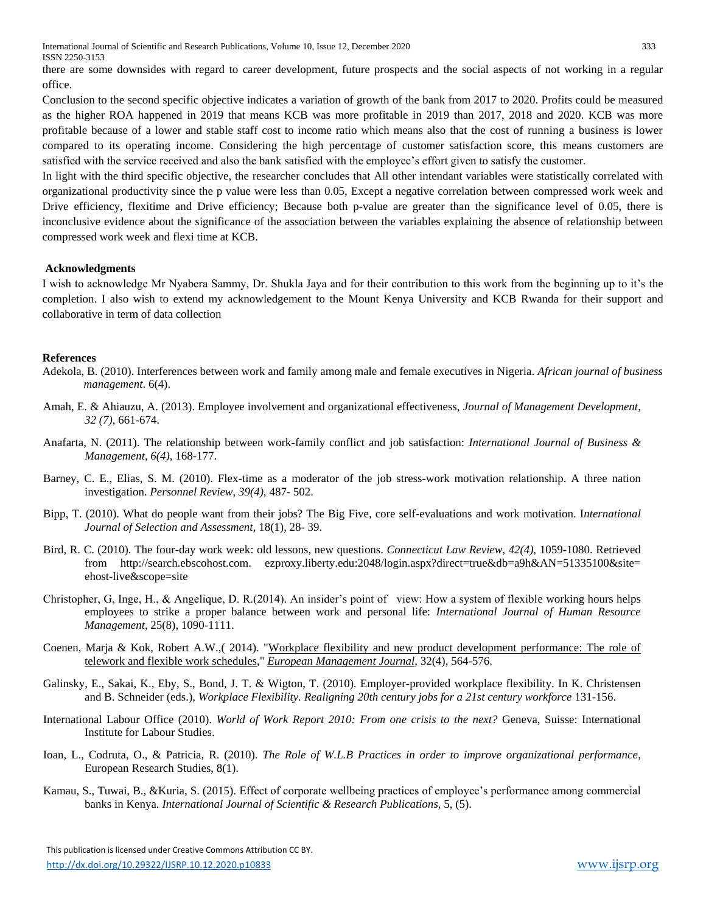International Journal of Scientific and Research Publications, Volume 10, Issue 12, December 2020 333 ISSN 2250-3153

there are some downsides with regard to career development, future prospects and the social aspects of not working in a regular office.

Conclusion to the second specific objective indicates a variation of growth of the bank from 2017 to 2020. Profits could be measured as the higher ROA happened in 2019 that means KCB was more profitable in 2019 than 2017, 2018 and 2020. KCB was more profitable because of a lower and stable staff cost to income ratio which means also that the cost of running a business is lower compared to its operating income. Considering the high percentage of customer satisfaction score, this means customers are satisfied with the service received and also the bank satisfied with the employee's effort given to satisfy the customer.

In light with the third specific objective, the researcher concludes that All other intendant variables were statistically correlated with organizational productivity since the p value were less than 0.05, Except a negative correlation between compressed work week and Drive efficiency, flexitime and Drive efficiency; Because both p-value are greater than the significance level of 0.05, there is inconclusive evidence about the significance of the association between the variables explaining the absence of relationship between compressed work week and flexi time at KCB.

#### **Acknowledgments**

I wish to acknowledge Mr Nyabera Sammy, Dr. Shukla Jaya and for their contribution to this work from the beginning up to it's the completion. I also wish to extend my acknowledgement to the Mount Kenya University and KCB Rwanda for their support and collaborative in term of data collection

#### **References**

- Adekola, B. (2010). Interferences between work and family among male and female executives in Nigeria. *African journal of business management*. 6(4).
- Amah, E. & Ahiauzu, A. (2013). Employee involvement and organizational effectiveness, *Journal of Management Development*, *32 (7),* 661-674.
- Anafarta, N. (2011). The relationship between work-family conflict and job satisfaction: *International Journal of Business & Management, 6(4),* 168-177.
- Barney, C. E., Elias, S. M. (2010). Flex-time as a moderator of the job stress-work motivation relationship. A three nation investigation. *Personnel Review*, *39(4),* 487- 502.
- Bipp, T. (2010). What do people want from their jobs? The Big Five, core self-evaluations and work motivation. I*nternational Journal of Selection and Assessment*, 18(1), 28- 39.
- Bird, R. C. (2010). The four-day work week: old lessons, new questions. *Connecticut Law Review, 42(4),* 1059-1080. Retrieved from http://search.ebscohost.com. ezproxy.liberty.edu:2048/login.aspx?direct=true&db=a9h&AN=51335100&site= ehost-live&scope=site
- Christopher, G, Inge, H., & Angelique, D. R.(2014). An insider's point of view: How a system of flexible working hours helps employees to strike a proper balance between work and personal life: *International Journal of Human Resource Management,* 25(8), 1090-1111.
- Coenen, Marja & Kok, Robert A.W.,( 2014). ["Workplace flexibility and new product development performance: The role of](https://ideas.repec.org/a/eee/eurman/v32y2014i4p564-576.html)  [telework and flexible work schedules,](https://ideas.repec.org/a/eee/eurman/v32y2014i4p564-576.html)" *European [Management Journal](https://ideas.repec.org/s/eee/eurman.html)*, 32(4), 564-576.
- Galinsky, E., Sakai, K., Eby, S., Bond, J. T. & Wigton, T. (2010). Employer-provided workplace flexibility. In K. Christensen and B. Schneider (eds.), *Workplace Flexibility. Realigning 20th century jobs for a 21st century workforce* 131-156.
- International Labour Office (2010). *World of Work Report 2010: From one crisis to the next?* Geneva, Suisse: International Institute for Labour Studies.
- Ioan, L., Codruta, O., & Patricia, R. (2010). *The Role of W.L.B Practices in order to improve organizational performance*, European Research Studies, 8(1).
- Kamau, S., Tuwai, B., &Kuria, S. (2015). Effect of corporate wellbeing practices of employee's performance among commercial banks in Kenya. *International Journal of Scientific & Research Publications*, 5, (5).